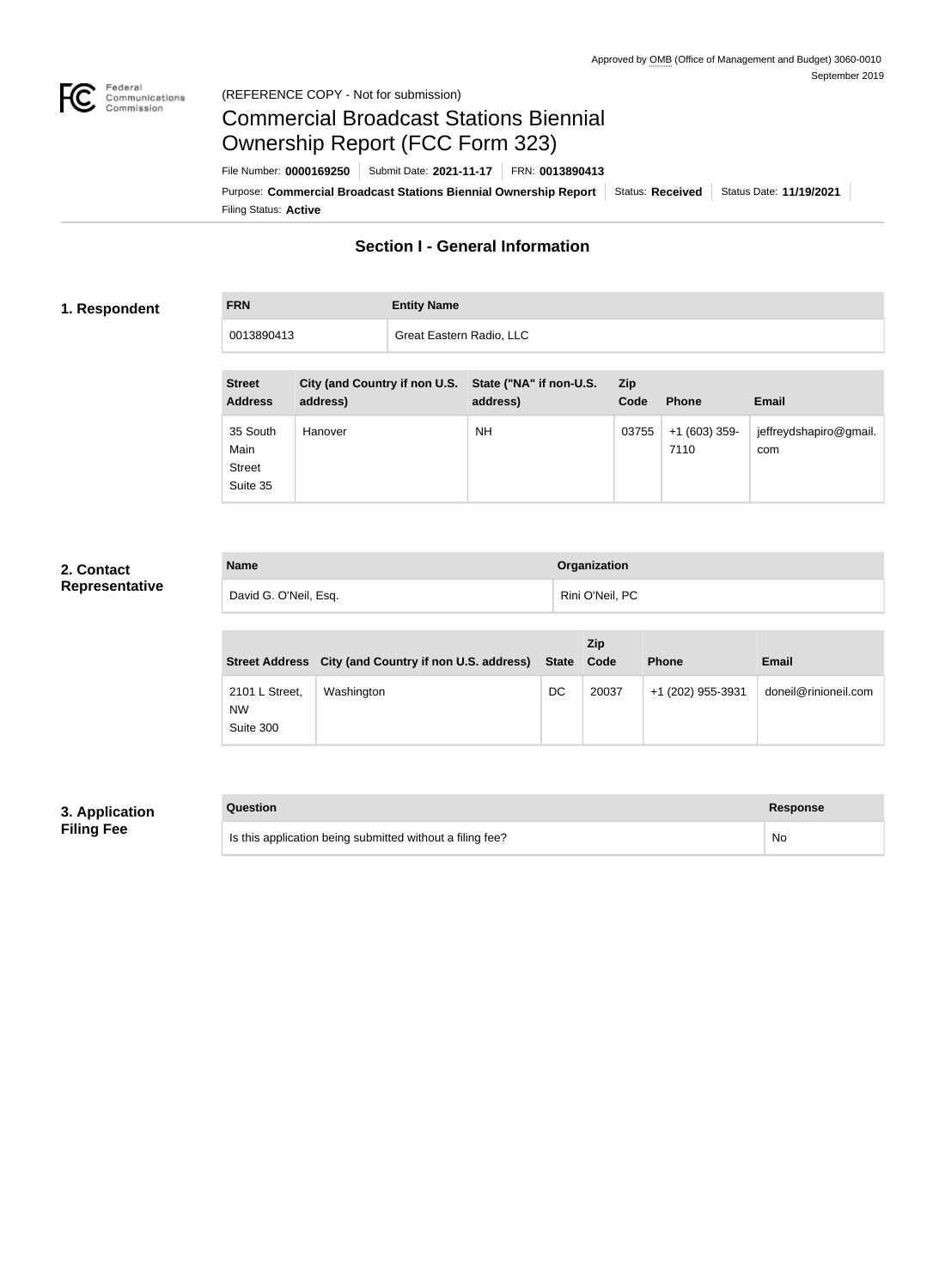

#### Federal<br>Communications<br>Commission (REFERENCE COPY - Not for submission)

# Commercial Broadcast Stations Biennial Ownership Report (FCC Form 323)

Filing Status: **Active** Purpose: Commercial Broadcast Stations Biennial Ownership Report Status: Received Status Date: 11/19/2021 File Number: **0000169250** Submit Date: **2021-11-17** FRN: **0013890413**

# **Section I - General Information**

#### **1. Respondent**

**FRN Entity Name**

0013890413 Great Eastern Radio, LLC

| <b>Street</b><br><b>Address</b>               | City (and Country if non U.S. State ("NA" if non-U.S.<br>address) | address) | <b>Zip</b><br>Code | <b>Phone</b>           | <b>Email</b>                  |
|-----------------------------------------------|-------------------------------------------------------------------|----------|--------------------|------------------------|-------------------------------|
| 35 South<br>Main<br><b>Street</b><br>Suite 35 | Hanover                                                           | NΗ       | 03755              | $+1(603)$ 359-<br>7110 | jeffreydshapiro@gmail.<br>com |

### **2. Contact Representative**

| <b>Name</b>           | Organization    |
|-----------------------|-----------------|
| David G. O'Neil, Esq. | Rini O'Neil, PC |

|                                          | Street Address City (and Country if non U.S. address) | <b>State</b> | <b>Zip</b><br>Code | <b>Phone</b>      | <b>Email</b>         |
|------------------------------------------|-------------------------------------------------------|--------------|--------------------|-------------------|----------------------|
| 2101 L Street,<br><b>NW</b><br>Suite 300 | Washington                                            | DC           | 20037              | +1 (202) 955-3931 | doneil@rinioneil.com |

# **3. Application Filing Fee**

| Question                                                  | Response |
|-----------------------------------------------------------|----------|
| Is this application being submitted without a filing fee? | No       |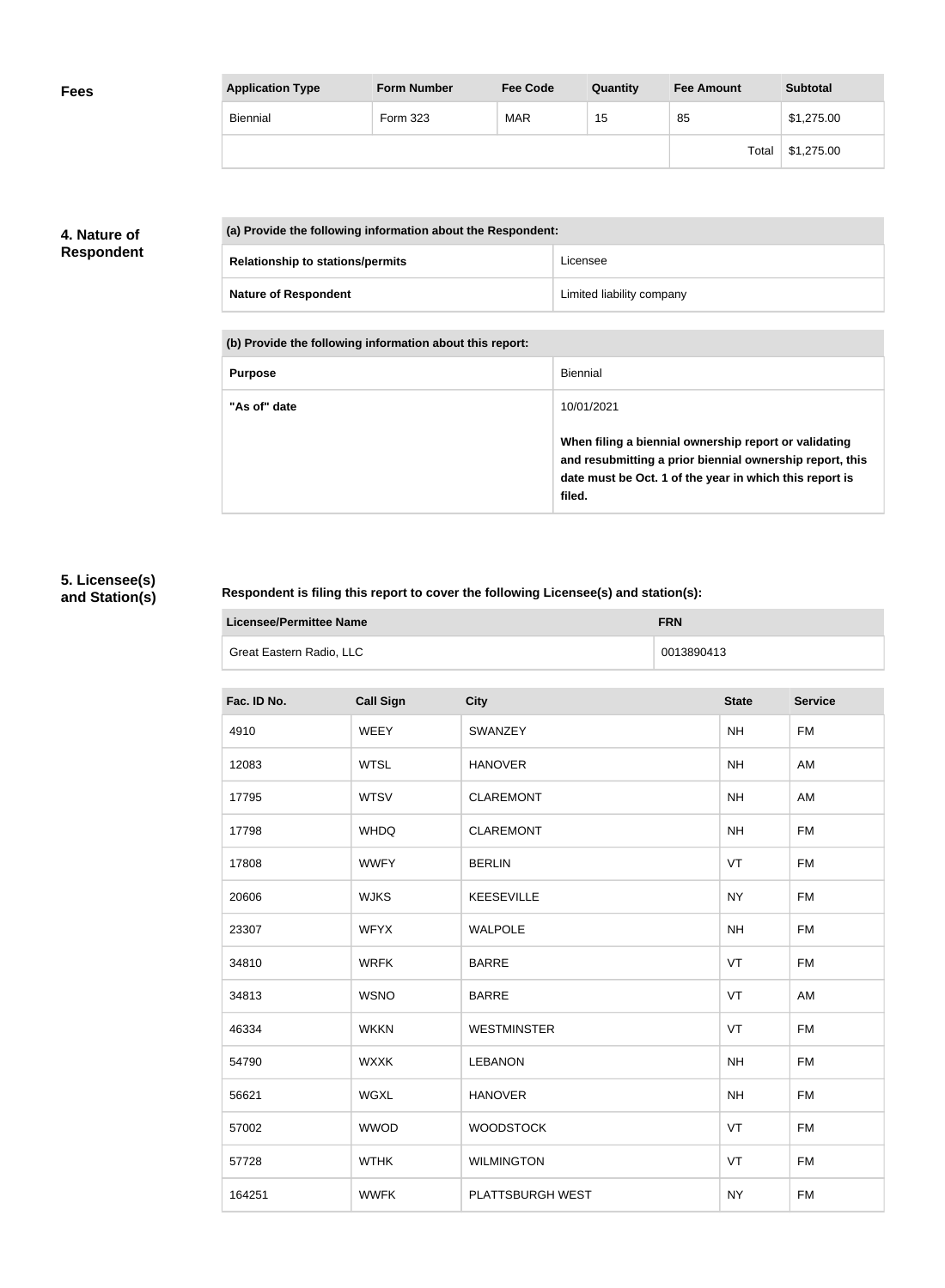| <b>Application Type</b> | <b>Form Number</b> | <b>Fee Code</b> | Quantity | <b>Fee Amount</b> | <b>Subtotal</b> |
|-------------------------|--------------------|-----------------|----------|-------------------|-----------------|
| <b>Biennial</b>         | Form 323           | <b>MAR</b>      | 15       | 85                | \$1,275.00      |
|                         |                    |                 |          | Total             | \$1,275.00      |

## **4. Nature of Respondent**

| (a) Provide the following information about the Respondent: |                                         |                           |  |
|-------------------------------------------------------------|-----------------------------------------|---------------------------|--|
|                                                             | <b>Relationship to stations/permits</b> | Licensee                  |  |
|                                                             | <b>Nature of Respondent</b>             | Limited liability company |  |

**(b) Provide the following information about this report:**

| <b>Purpose</b> | Biennial                                                                                                                                                                               |
|----------------|----------------------------------------------------------------------------------------------------------------------------------------------------------------------------------------|
| "As of" date   | 10/01/2021                                                                                                                                                                             |
|                | When filing a biennial ownership report or validating<br>and resubmitting a prior biennial ownership report, this<br>date must be Oct. 1 of the year in which this report is<br>filed. |

# **5. Licensee(s) and Station(s)**

### **Respondent is filing this report to cover the following Licensee(s) and station(s):**

| Licensee/Permittee Name  | <b>FRN</b> |
|--------------------------|------------|
| Great Eastern Radio, LLC | 0013890413 |

| Fac. ID No. | <b>Call Sign</b> | <b>City</b>        | <b>State</b> | <b>Service</b> |
|-------------|------------------|--------------------|--------------|----------------|
| 4910        | <b>WEEY</b>      | SWANZEY            | <b>NH</b>    | <b>FM</b>      |
| 12083       | <b>WTSL</b>      | <b>HANOVER</b>     | <b>NH</b>    | AM             |
| 17795       | <b>WTSV</b>      | <b>CLAREMONT</b>   | <b>NH</b>    | AM             |
| 17798       | <b>WHDQ</b>      | <b>CLAREMONT</b>   | <b>NH</b>    | <b>FM</b>      |
| 17808       | <b>WWFY</b>      | <b>BERLIN</b>      | VT           | <b>FM</b>      |
| 20606       | <b>WJKS</b>      | <b>KEESEVILLE</b>  | <b>NY</b>    | <b>FM</b>      |
| 23307       | <b>WFYX</b>      | <b>WALPOLE</b>     | <b>NH</b>    | <b>FM</b>      |
| 34810       | <b>WRFK</b>      | <b>BARRE</b>       | VT           | <b>FM</b>      |
| 34813       | <b>WSNO</b>      | <b>BARRE</b>       | VT           | AM             |
| 46334       | <b>WKKN</b>      | <b>WESTMINSTER</b> | VT           | <b>FM</b>      |
| 54790       | <b>WXXK</b>      | <b>LEBANON</b>     | <b>NH</b>    | <b>FM</b>      |
| 56621       | <b>WGXL</b>      | <b>HANOVER</b>     | <b>NH</b>    | <b>FM</b>      |
| 57002       | <b>WWOD</b>      | <b>WOODSTOCK</b>   | VT           | <b>FM</b>      |
| 57728       | <b>WTHK</b>      | <b>WILMINGTON</b>  | VT           | <b>FM</b>      |
| 164251      | <b>WWFK</b>      | PLATTSBURGH WEST   | <b>NY</b>    | <b>FM</b>      |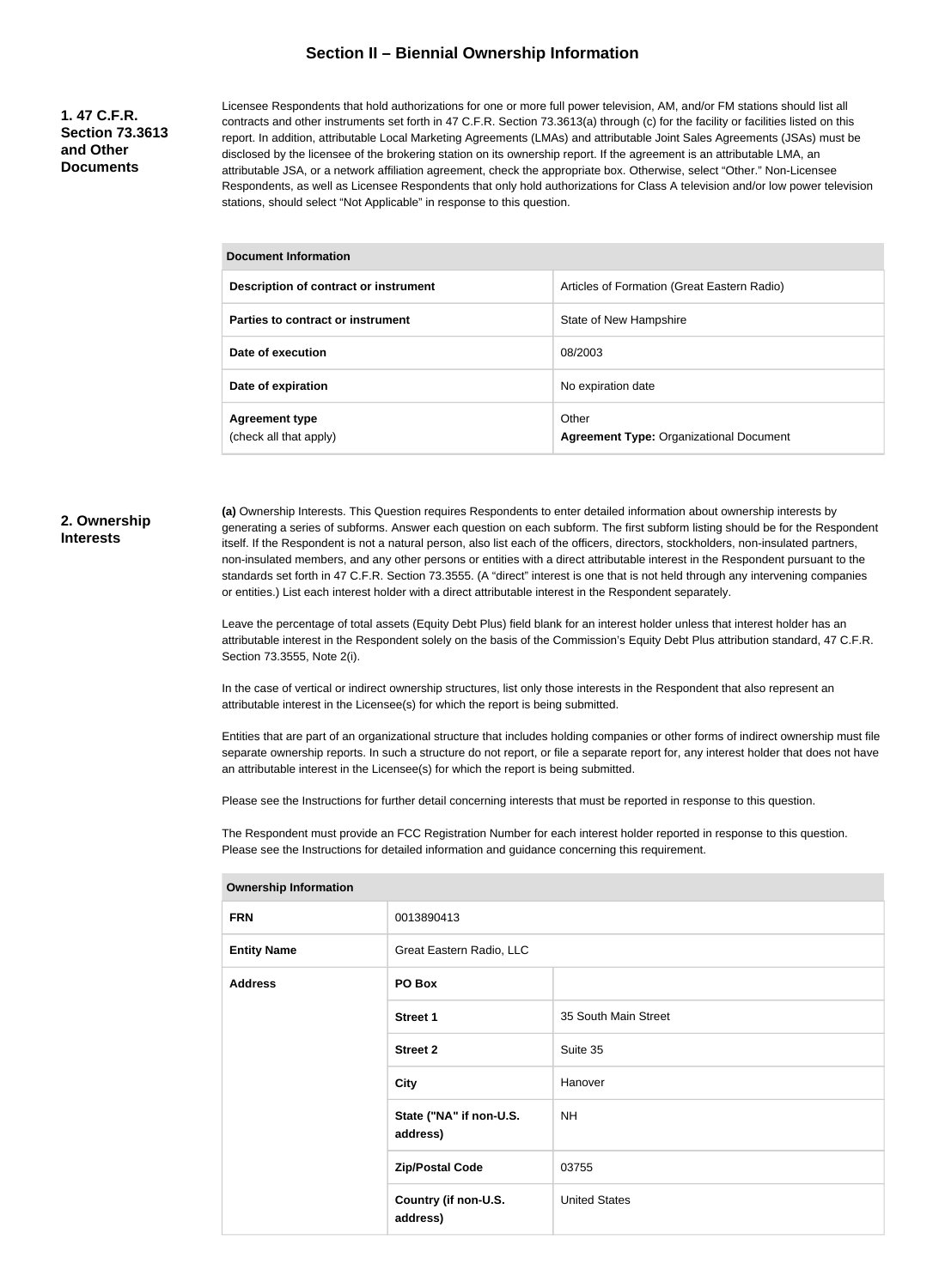#### **Section II – Biennial Ownership Information**

#### **1. 47 C.F.R. Section 73.3613 and Other Documents**

Licensee Respondents that hold authorizations for one or more full power television, AM, and/or FM stations should list all contracts and other instruments set forth in 47 C.F.R. Section 73.3613(a) through (c) for the facility or facilities listed on this report. In addition, attributable Local Marketing Agreements (LMAs) and attributable Joint Sales Agreements (JSAs) must be disclosed by the licensee of the brokering station on its ownership report. If the agreement is an attributable LMA, an attributable JSA, or a network affiliation agreement, check the appropriate box. Otherwise, select "Other." Non-Licensee Respondents, as well as Licensee Respondents that only hold authorizations for Class A television and/or low power television stations, should select "Not Applicable" in response to this question.

#### **Document Information**

| Description of contract or instrument           | Articles of Formation (Great Eastern Radio)             |  |
|-------------------------------------------------|---------------------------------------------------------|--|
| Parties to contract or instrument               | State of New Hampshire                                  |  |
| Date of execution                               | 08/2003                                                 |  |
| Date of expiration                              | No expiration date                                      |  |
| <b>Agreement type</b><br>(check all that apply) | Other<br><b>Agreement Type: Organizational Document</b> |  |

#### **2. Ownership Interests**

**(a)** Ownership Interests. This Question requires Respondents to enter detailed information about ownership interests by generating a series of subforms. Answer each question on each subform. The first subform listing should be for the Respondent itself. If the Respondent is not a natural person, also list each of the officers, directors, stockholders, non-insulated partners, non-insulated members, and any other persons or entities with a direct attributable interest in the Respondent pursuant to the standards set forth in 47 C.F.R. Section 73.3555. (A "direct" interest is one that is not held through any intervening companies or entities.) List each interest holder with a direct attributable interest in the Respondent separately.

Leave the percentage of total assets (Equity Debt Plus) field blank for an interest holder unless that interest holder has an attributable interest in the Respondent solely on the basis of the Commission's Equity Debt Plus attribution standard, 47 C.F.R. Section 73.3555, Note 2(i).

In the case of vertical or indirect ownership structures, list only those interests in the Respondent that also represent an attributable interest in the Licensee(s) for which the report is being submitted.

Entities that are part of an organizational structure that includes holding companies or other forms of indirect ownership must file separate ownership reports. In such a structure do not report, or file a separate report for, any interest holder that does not have an attributable interest in the Licensee(s) for which the report is being submitted.

Please see the Instructions for further detail concerning interests that must be reported in response to this question.

The Respondent must provide an FCC Registration Number for each interest holder reported in response to this question. Please see the Instructions for detailed information and guidance concerning this requirement.

| <b>FRN</b>         | 0013890413                          |                      |  |
|--------------------|-------------------------------------|----------------------|--|
| <b>Entity Name</b> | Great Eastern Radio, LLC            |                      |  |
| <b>Address</b>     | PO Box                              |                      |  |
|                    | <b>Street 1</b>                     | 35 South Main Street |  |
|                    | <b>Street 2</b>                     | Suite 35             |  |
|                    | <b>City</b>                         | Hanover              |  |
|                    | State ("NA" if non-U.S.<br>address) | <b>NH</b>            |  |
|                    | <b>Zip/Postal Code</b>              | 03755                |  |
|                    | Country (if non-U.S.<br>address)    | <b>United States</b> |  |
|                    |                                     |                      |  |

#### **Ownership Information**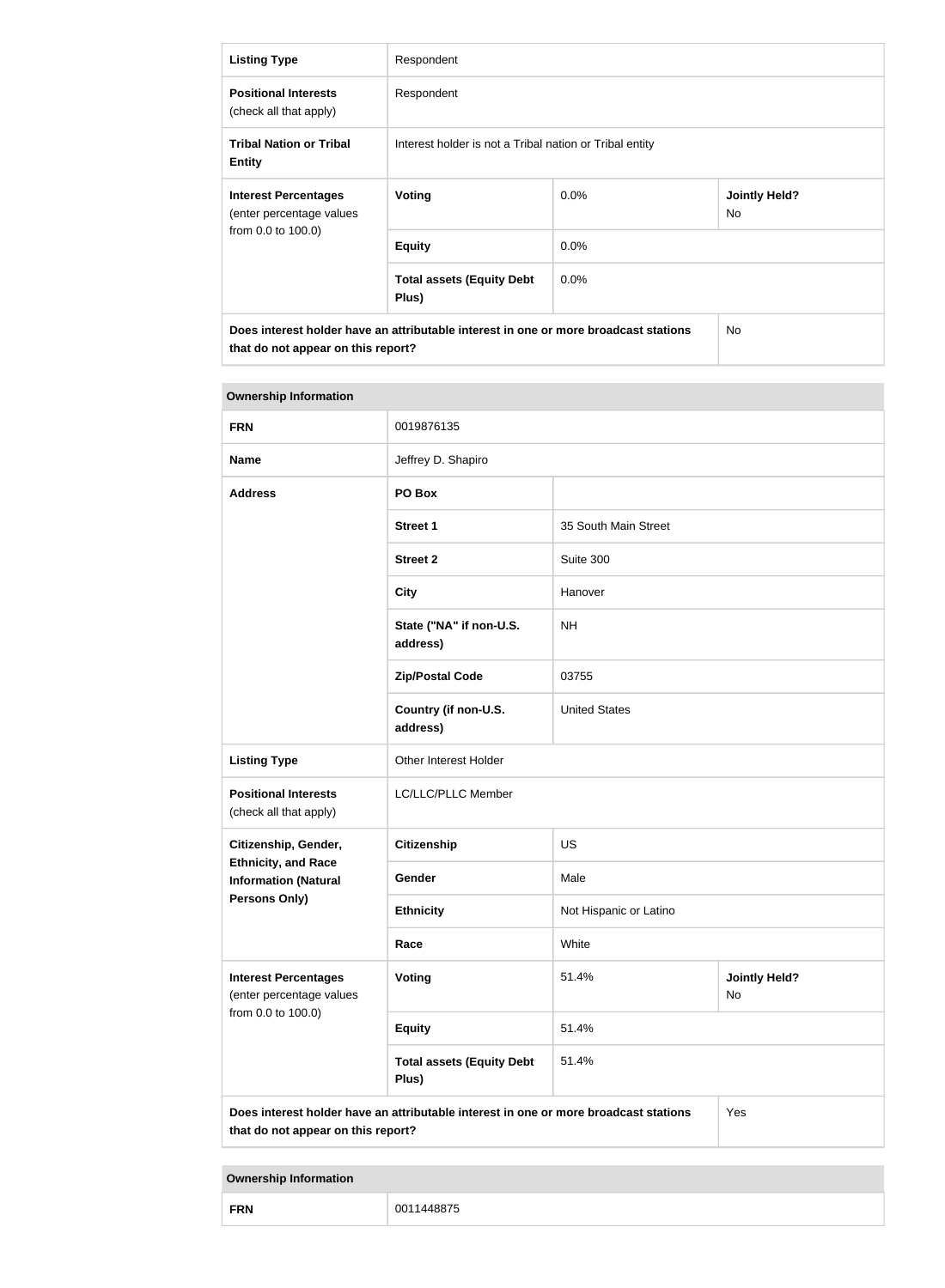| <b>Listing Type</b>                                                                                                        | Respondent                                              |         |                             |
|----------------------------------------------------------------------------------------------------------------------------|---------------------------------------------------------|---------|-----------------------------|
| <b>Positional Interests</b><br>(check all that apply)                                                                      | Respondent                                              |         |                             |
| <b>Tribal Nation or Tribal</b><br><b>Entity</b>                                                                            | Interest holder is not a Tribal nation or Tribal entity |         |                             |
| <b>Interest Percentages</b><br>(enter percentage values                                                                    | Voting                                                  | $0.0\%$ | <b>Jointly Held?</b><br>No. |
| from 0.0 to 100.0)                                                                                                         | <b>Equity</b>                                           | $0.0\%$ |                             |
|                                                                                                                            | <b>Total assets (Equity Debt</b><br>Plus)               | $0.0\%$ |                             |
| Does interest holder have an attributable interest in one or more broadcast stations<br>that do not appear on this report? |                                                         | No      |                             |

| <b>Ownership Information</b>                                                                                                      |                                           |                        |                            |  |
|-----------------------------------------------------------------------------------------------------------------------------------|-------------------------------------------|------------------------|----------------------------|--|
| <b>FRN</b>                                                                                                                        | 0019876135                                |                        |                            |  |
| <b>Name</b>                                                                                                                       | Jeffrey D. Shapiro                        |                        |                            |  |
| <b>Address</b>                                                                                                                    | PO Box                                    |                        |                            |  |
|                                                                                                                                   | <b>Street 1</b>                           | 35 South Main Street   |                            |  |
|                                                                                                                                   | <b>Street 2</b>                           | Suite 300              |                            |  |
|                                                                                                                                   | <b>City</b>                               | Hanover                |                            |  |
|                                                                                                                                   | State ("NA" if non-U.S.<br>address)       | <b>NH</b>              |                            |  |
|                                                                                                                                   | <b>Zip/Postal Code</b>                    | 03755                  |                            |  |
|                                                                                                                                   | Country (if non-U.S.<br>address)          | <b>United States</b>   |                            |  |
| <b>Listing Type</b>                                                                                                               | Other Interest Holder                     |                        |                            |  |
| <b>Positional Interests</b><br>(check all that apply)                                                                             | LC/LLC/PLLC Member                        |                        |                            |  |
| Citizenship, Gender,                                                                                                              | <b>Citizenship</b>                        | <b>US</b>              |                            |  |
| <b>Ethnicity, and Race</b><br><b>Information (Natural</b>                                                                         | Gender                                    | Male                   |                            |  |
| Persons Only)                                                                                                                     | <b>Ethnicity</b>                          | Not Hispanic or Latino |                            |  |
|                                                                                                                                   | Race                                      | White                  |                            |  |
| <b>Interest Percentages</b><br>(enter percentage values                                                                           | Voting                                    | 51.4%                  | <b>Jointly Held?</b><br>No |  |
| from 0.0 to 100.0)                                                                                                                | <b>Equity</b>                             | 51.4%                  |                            |  |
|                                                                                                                                   | <b>Total assets (Equity Debt</b><br>Plus) | 51.4%                  |                            |  |
| Does interest holder have an attributable interest in one or more broadcast stations<br>Yes<br>that do not appear on this report? |                                           |                        |                            |  |

**Ownership Information**

п

| <b>FRN</b> | 1448875<br>001 |
|------------|----------------|
|------------|----------------|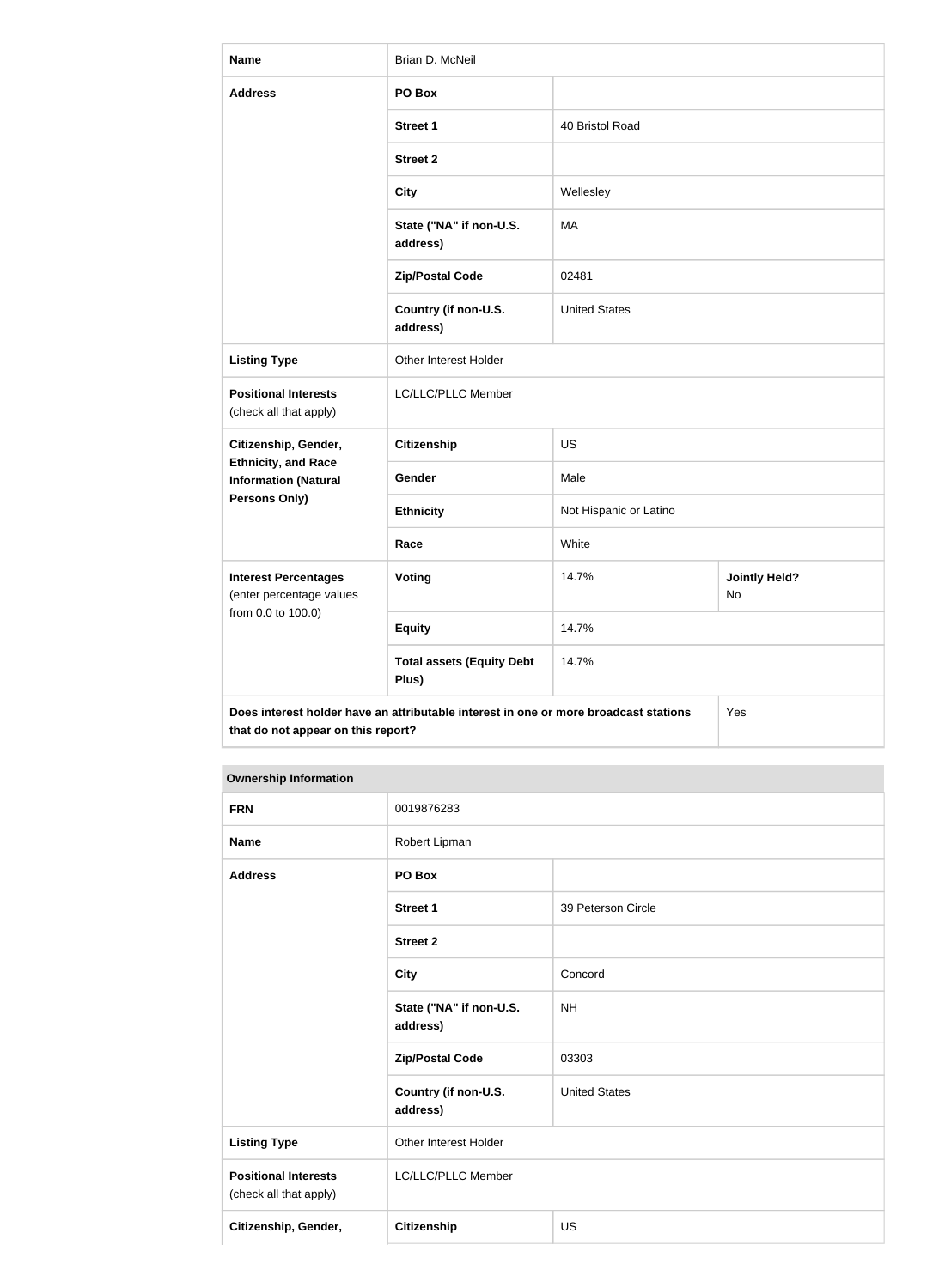| <b>Name</b>                                                                   | Brian D. McNeil                                                                      |                        |                            |
|-------------------------------------------------------------------------------|--------------------------------------------------------------------------------------|------------------------|----------------------------|
| <b>Address</b>                                                                | PO Box                                                                               |                        |                            |
|                                                                               | <b>Street 1</b>                                                                      | 40 Bristol Road        |                            |
|                                                                               | <b>Street 2</b>                                                                      |                        |                            |
|                                                                               | <b>City</b>                                                                          | Wellesley              |                            |
|                                                                               | State ("NA" if non-U.S.<br>address)                                                  | MA                     |                            |
|                                                                               | <b>Zip/Postal Code</b>                                                               | 02481                  |                            |
|                                                                               | Country (if non-U.S.<br>address)                                                     | <b>United States</b>   |                            |
| <b>Listing Type</b>                                                           | Other Interest Holder                                                                |                        |                            |
| <b>Positional Interests</b><br>(check all that apply)                         | LC/LLC/PLLC Member                                                                   |                        |                            |
| Citizenship, Gender,                                                          | <b>Citizenship</b>                                                                   | <b>US</b>              |                            |
| <b>Ethnicity, and Race</b><br><b>Information (Natural</b>                     | Gender                                                                               | Male                   |                            |
| <b>Persons Only)</b>                                                          | <b>Ethnicity</b>                                                                     | Not Hispanic or Latino |                            |
|                                                                               | Race                                                                                 | White                  |                            |
| <b>Interest Percentages</b><br>(enter percentage values<br>from 0.0 to 100.0) | <b>Voting</b>                                                                        | 14.7%                  | <b>Jointly Held?</b><br>No |
|                                                                               | <b>Equity</b>                                                                        | 14.7%                  |                            |
|                                                                               | <b>Total assets (Equity Debt</b><br>Plus)                                            | 14.7%                  |                            |
| that do not appear on this report?                                            | Does interest holder have an attributable interest in one or more broadcast stations |                        | Yes                        |

# **Ownership Information**

| <b>FRN</b>                                            | 0019876283                          |                      |
|-------------------------------------------------------|-------------------------------------|----------------------|
| <b>Name</b>                                           | Robert Lipman                       |                      |
| <b>Address</b>                                        | PO Box                              |                      |
|                                                       | <b>Street 1</b>                     | 39 Peterson Circle   |
|                                                       | <b>Street 2</b>                     |                      |
|                                                       | <b>City</b>                         | Concord              |
|                                                       | State ("NA" if non-U.S.<br>address) | <b>NH</b>            |
|                                                       | <b>Zip/Postal Code</b>              | 03303                |
|                                                       | Country (if non-U.S.<br>address)    | <b>United States</b> |
| <b>Listing Type</b>                                   | Other Interest Holder               |                      |
| <b>Positional Interests</b><br>(check all that apply) | LC/LLC/PLLC Member                  |                      |
| Citizenship, Gender,                                  | <b>Citizenship</b><br><b>US</b>     |                      |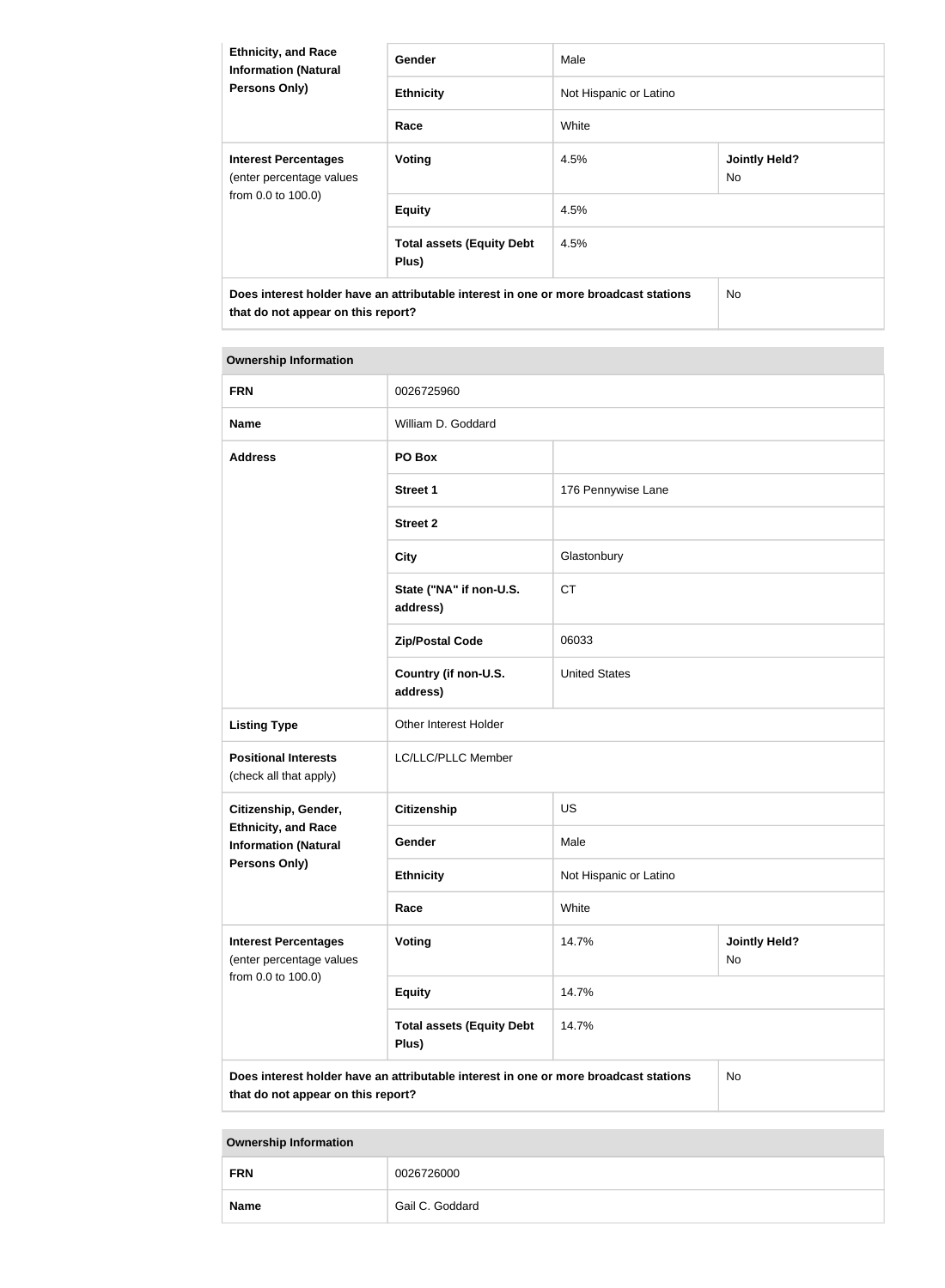| <b>Ethnicity, and Race</b><br><b>Information (Natural</b><br><b>Persons Only)</b>                                          | <b>Gender</b>                             | Male                   |                             |
|----------------------------------------------------------------------------------------------------------------------------|-------------------------------------------|------------------------|-----------------------------|
|                                                                                                                            | <b>Ethnicity</b>                          | Not Hispanic or Latino |                             |
|                                                                                                                            | Race                                      | White                  |                             |
| <b>Interest Percentages</b><br>(enter percentage values<br>from 0.0 to 100.0)                                              | Voting                                    | 4.5%                   | <b>Jointly Held?</b><br>No. |
|                                                                                                                            | <b>Equity</b>                             | 4.5%                   |                             |
|                                                                                                                            | <b>Total assets (Equity Debt</b><br>Plus) | 4.5%                   |                             |
| Does interest holder have an attributable interest in one or more broadcast stations<br>that do not appear on this report? |                                           | No.                    |                             |

# **Ownership Information FRN** 0026725960 **Name** William D. Goddard **Address PO Box Street 1** 176 Pennywise Lane **Street 2 City** Glastonbury **State ("NA" if non-U.S. address)** CT **Zip/Postal Code** 06033 **Country (if non-U.S. address)** United States **Listing Type City Communist Communist Communist Communist Communist Communist Communist Communist Communist Communist Communist Communist Communist Communist Communist Communist Communist Communist Communist Communist C Positional Interests** (check all that apply) LC/LLC/PLLC Member **Citizenship, Gender, Ethnicity, and Race Information (Natural Persons Only) Citizenship** US Gender Male **Ethnicity** Not Hispanic or Latino **Race** White **Interest Percentages** (enter percentage values from 0.0 to 100.0) **Voting 14.7% and 14.7% and 14.7% and 14.7% and 14.7% and 14.7% and 14.7% and 14.7% and 14.7% and 14.7% and 14.7% and 14.7% and 14.7% and 14.7% and 14.7% and 14.7% and 14.7% and 14.7% and 14.7% and 14.7% and 14.7% and 14.7** No **Equity** 14.7% **Total assets (Equity Debt Plus)** 14.7% **Does interest holder have an attributable interest in one or more broadcast stations that do not appear on this report?** No

**Ownership Information**

| <b>FRN</b>  | 0026726000      |
|-------------|-----------------|
| <b>Name</b> | Gail C. Goddard |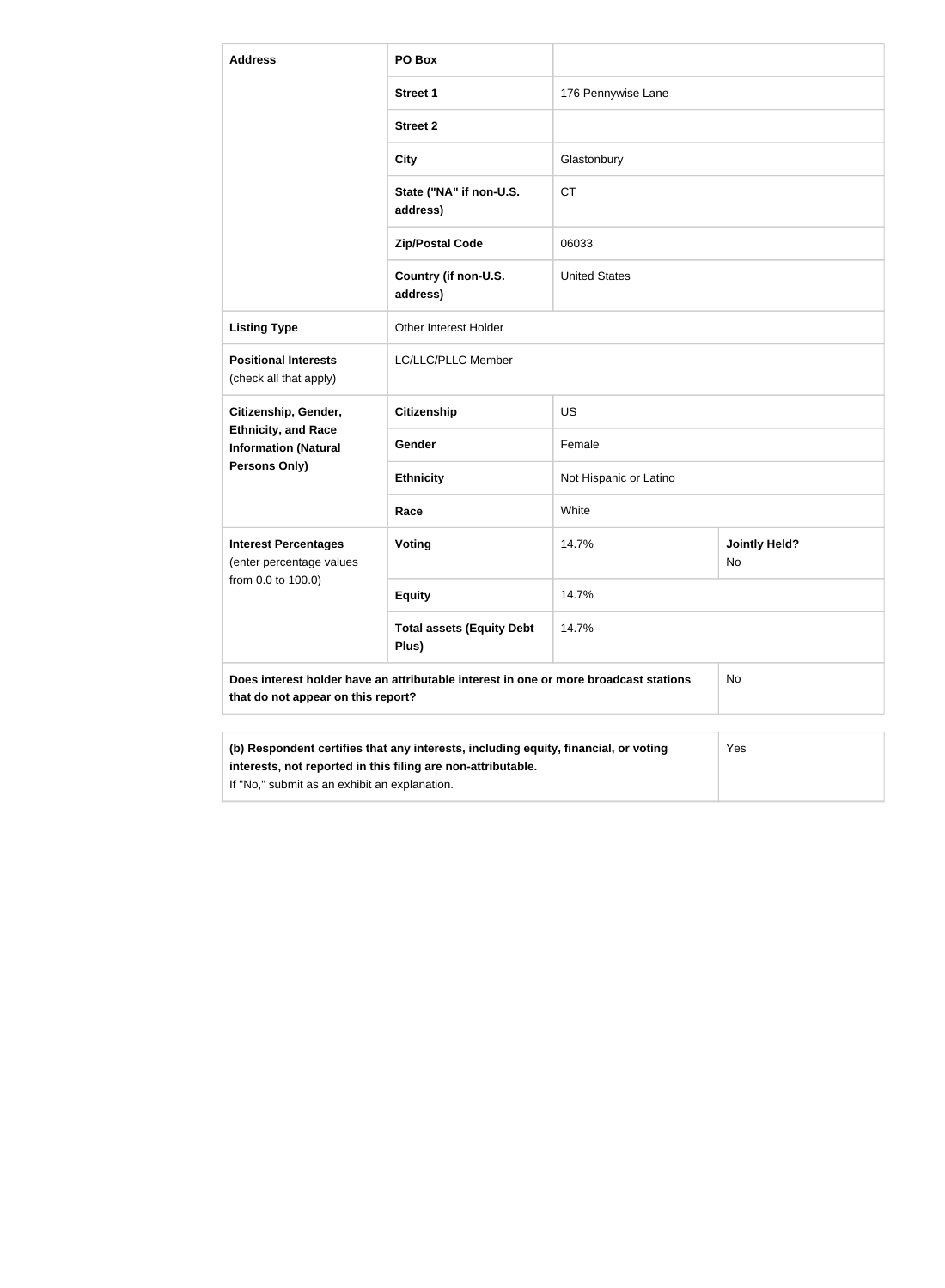| <b>Address</b>                                                                           | PO Box                                                                               |                        |                            |
|------------------------------------------------------------------------------------------|--------------------------------------------------------------------------------------|------------------------|----------------------------|
|                                                                                          | <b>Street 1</b>                                                                      | 176 Pennywise Lane     |                            |
|                                                                                          | <b>Street 2</b>                                                                      |                        |                            |
|                                                                                          | <b>City</b>                                                                          | Glastonbury            |                            |
|                                                                                          | State ("NA" if non-U.S.<br>address)                                                  | <b>CT</b>              |                            |
|                                                                                          | <b>Zip/Postal Code</b>                                                               | 06033                  |                            |
|                                                                                          | Country (if non-U.S.<br>address)                                                     | <b>United States</b>   |                            |
| <b>Listing Type</b>                                                                      | Other Interest Holder                                                                |                        |                            |
| <b>Positional Interests</b><br>(check all that apply)                                    | LC/LLC/PLLC Member                                                                   |                        |                            |
| Citizenship, Gender,                                                                     | <b>Citizenship</b>                                                                   | <b>US</b>              |                            |
| <b>Ethnicity, and Race</b><br><b>Information (Natural</b>                                | Gender                                                                               | Female                 |                            |
| <b>Persons Only)</b>                                                                     | <b>Ethnicity</b>                                                                     | Not Hispanic or Latino |                            |
|                                                                                          | Race                                                                                 | White                  |                            |
| <b>Interest Percentages</b><br>(enter percentage values                                  | Voting                                                                               | 14.7%                  | <b>Jointly Held?</b><br>No |
| from 0.0 to 100.0)                                                                       | <b>Equity</b>                                                                        | 14.7%                  |                            |
|                                                                                          | <b>Total assets (Equity Debt</b><br>Plus)                                            | 14.7%                  |                            |
| that do not appear on this report?                                                       | Does interest holder have an attributable interest in one or more broadcast stations |                        | <b>No</b>                  |
| (b) Respondent certifies that any interests including equity financial or voting<br>Yes. |                                                                                      |                        |                            |

| (b) Respondent certifies that any interests, including equity, financial, or voting | Yes |
|-------------------------------------------------------------------------------------|-----|
| interests, not reported in this filing are non-attributable.                        |     |
| If "No," submit as an exhibit an explanation.                                       |     |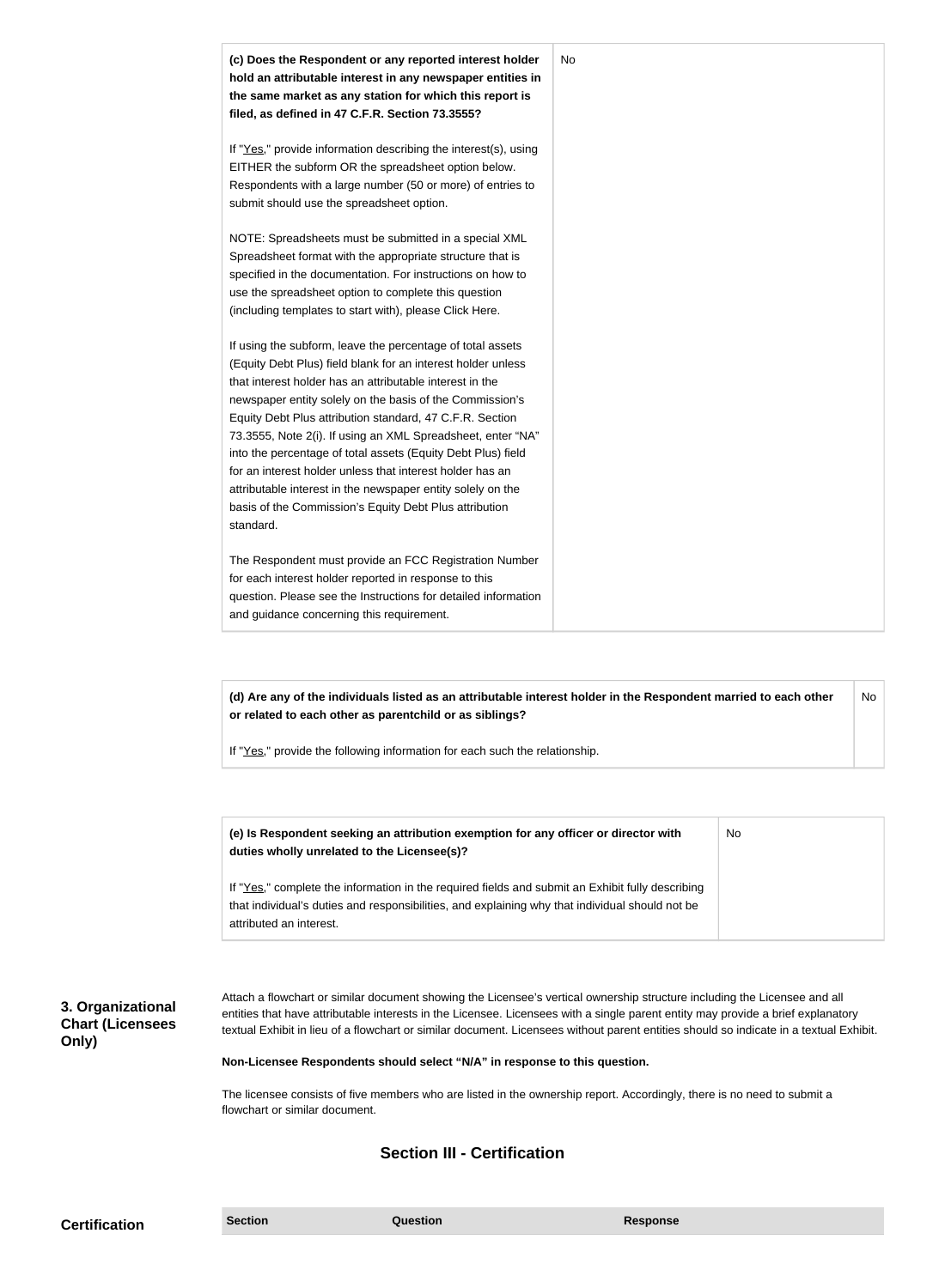| (c) Does the Respondent or any reported interest holder<br>hold an attributable interest in any newspaper entities in<br>the same market as any station for which this report is<br>filed, as defined in 47 C.F.R. Section 73.3555?                                                                                                                                                                                                                                                                                                                                                                                                              | No |
|--------------------------------------------------------------------------------------------------------------------------------------------------------------------------------------------------------------------------------------------------------------------------------------------------------------------------------------------------------------------------------------------------------------------------------------------------------------------------------------------------------------------------------------------------------------------------------------------------------------------------------------------------|----|
| If "Yes," provide information describing the interest(s), using<br>EITHER the subform OR the spreadsheet option below.<br>Respondents with a large number (50 or more) of entries to<br>submit should use the spreadsheet option.                                                                                                                                                                                                                                                                                                                                                                                                                |    |
| NOTE: Spreadsheets must be submitted in a special XML<br>Spreadsheet format with the appropriate structure that is<br>specified in the documentation. For instructions on how to<br>use the spreadsheet option to complete this question<br>(including templates to start with), please Click Here.                                                                                                                                                                                                                                                                                                                                              |    |
| If using the subform, leave the percentage of total assets<br>(Equity Debt Plus) field blank for an interest holder unless<br>that interest holder has an attributable interest in the<br>newspaper entity solely on the basis of the Commission's<br>Equity Debt Plus attribution standard, 47 C.F.R. Section<br>73.3555, Note 2(i). If using an XML Spreadsheet, enter "NA"<br>into the percentage of total assets (Equity Debt Plus) field<br>for an interest holder unless that interest holder has an<br>attributable interest in the newspaper entity solely on the<br>basis of the Commission's Equity Debt Plus attribution<br>standard. |    |
| The Respondent must provide an FCC Registration Number<br>for each interest holder reported in response to this<br>question. Please see the Instructions for detailed information<br>and guidance concerning this requirement.                                                                                                                                                                                                                                                                                                                                                                                                                   |    |

**or related to each other as parentchild or as siblings?**

If "Yes," provide the following information for each such the relationship.

| (e) Is Respondent seeking an attribution exemption for any officer or director with<br>duties wholly unrelated to the Licensee(s)?                                                                                             | <b>No</b> |
|--------------------------------------------------------------------------------------------------------------------------------------------------------------------------------------------------------------------------------|-----------|
| If "Yes," complete the information in the required fields and submit an Exhibit fully describing<br>that individual's duties and responsibilities, and explaining why that individual should not be<br>attributed an interest. |           |

**3. Organizational Chart (Licensees Only)**

Attach a flowchart or similar document showing the Licensee's vertical ownership structure including the Licensee and all entities that have attributable interests in the Licensee. Licensees with a single parent entity may provide a brief explanatory textual Exhibit in lieu of a flowchart or similar document. Licensees without parent entities should so indicate in a textual Exhibit.

#### **Non-Licensee Respondents should select "N/A" in response to this question.**

The licensee consists of five members who are listed in the ownership report. Accordingly, there is no need to submit a flowchart or similar document.

### **Section III - Certification**